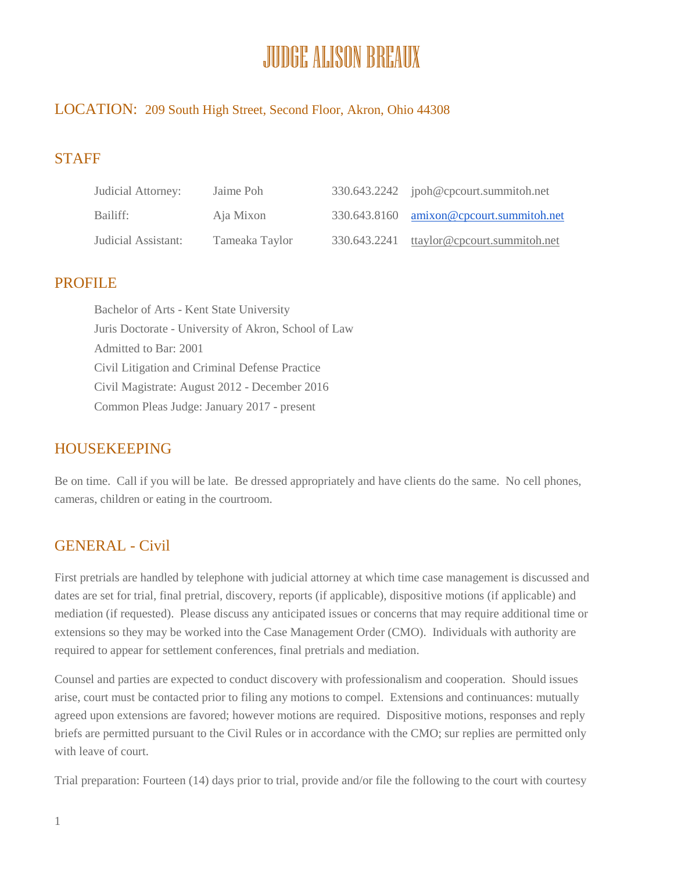# JUDGE ALISON BREAUX

#### LOCATION: 209 South High Street, Second Floor, Akron, Ohio 44308

## STAFF

| Judicial Attorney:  | Jaime Poh      | 330.643.2242 ipoh@cpcourt.summitoh.net    |
|---------------------|----------------|-------------------------------------------|
| Bailiff:            | Aja Mixon      | 330.643.8160 amixon@cpcourt.summitoh.net  |
| Judicial Assistant: | Tameaka Taylor | 330.643.2241 ttaylor@cpcourt.summitoh.net |

#### PROFILE

Bachelor of Arts - Kent State University Juris Doctorate - University of Akron, School of Law Admitted to Bar: 2001 Civil Litigation and Criminal Defense Practice Civil Magistrate: August 2012 - December 2016 Common Pleas Judge: January 2017 - present

#### HOUSEKEEPING

Be on time. Call if you will be late. Be dressed appropriately and have clients do the same. No cell phones, cameras, children or eating in the courtroom.

## GENERAL - Civil

First pretrials are handled by telephone with judicial attorney at which time case management is discussed and dates are set for trial, final pretrial, discovery, reports (if applicable), dispositive motions (if applicable) and mediation (if requested). Please discuss any anticipated issues or concerns that may require additional time or extensions so they may be worked into the Case Management Order (CMO). Individuals with authority are required to appear for settlement conferences, final pretrials and mediation.

Counsel and parties are expected to conduct discovery with professionalism and cooperation. Should issues arise, court must be contacted prior to filing any motions to compel. Extensions and continuances: mutually agreed upon extensions are favored; however motions are required. Dispositive motions, responses and reply briefs are permitted pursuant to the Civil Rules or in accordance with the CMO; sur replies are permitted only with leave of court.

Trial preparation: Fourteen (14) days prior to trial, provide and/or file the following to the court with courtesy